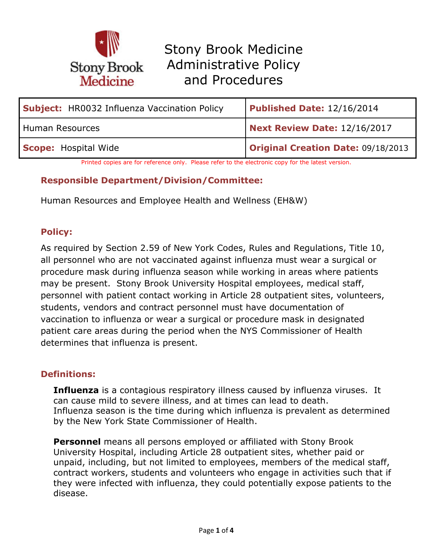

| <b>Subject:</b> HR0032 Influenza Vaccination Policy | Published Date: 12/16/2014         |
|-----------------------------------------------------|------------------------------------|
| Human Resources                                     | Next Review Date: 12/16/2017       |
| Scope: Hospital Wide                                | Original Creation Date: 09/18/2013 |

Printed copies are for reference only. Please refer to the electronic copy for the latest version.

#### **Responsible Department/Division/Committee:**

Human Resources and Employee Health and Wellness (EH&W)

#### **Policy:**

As required by Section 2.59 of New York Codes, Rules and Regulations, Title 10, all personnel who are not vaccinated against influenza must wear a surgical or procedure mask during influenza season while working in areas where patients may be present. Stony Brook University Hospital employees, medical staff, personnel with patient contact working in Article 28 outpatient sites, volunteers, students, vendors and contract personnel must have documentation of vaccination to influenza or wear a surgical or procedure mask in designated patient care areas during the period when the NYS Commissioner of Health determines that influenza is present.

#### **Definitions:**

**Influenza** is a contagious respiratory illness caused by influenza viruses. It can cause mild to severe illness, and at times can lead to death. Influenza season is the time during which influenza is prevalent as determined by the New York State Commissioner of Health.

**Personnel** means all persons employed or affiliated with Stony Brook University Hospital, including Article 28 outpatient sites, whether paid or unpaid, including, but not limited to employees, members of the medical staff, contract workers, students and volunteers who engage in activities such that if they were infected with influenza, they could potentially expose patients to the disease.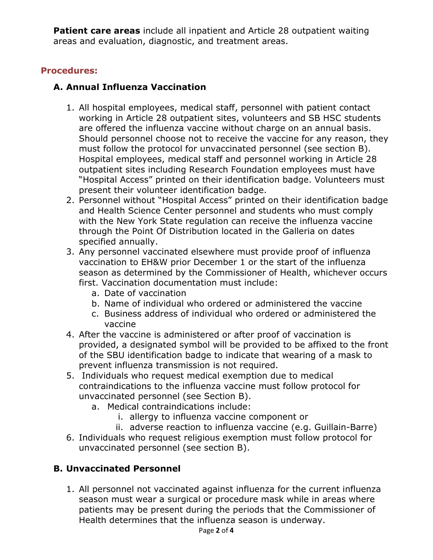**Patient care areas** include all inpatient and Article 28 outpatient waiting areas and evaluation, diagnostic, and treatment areas.

### **Procedures:**

### **A. Annual Influenza Vaccination**

- 1. All hospital employees, medical staff, personnel with patient contact working in Article 28 outpatient sites, volunteers and SB HSC students are offered the influenza vaccine without charge on an annual basis. Should personnel choose not to receive the vaccine for any reason, they must follow the protocol for unvaccinated personnel (see section B). Hospital employees, medical staff and personnel working in Article 28 outpatient sites including Research Foundation employees must have "Hospital Access" printed on their identification badge. Volunteers must present their volunteer identification badge.
- 2. Personnel without "Hospital Access" printed on their identification badge and Health Science Center personnel and students who must comply with the New York State regulation can receive the influenza vaccine through the Point Of Distribution located in the Galleria on dates specified annually.
- 3. Any personnel vaccinated elsewhere must provide proof of influenza vaccination to EH&W prior December 1 or the start of the influenza season as determined by the Commissioner of Health, whichever occurs first. Vaccination documentation must include:
	- a. Date of vaccination
	- b. Name of individual who ordered or administered the vaccine
	- c. Business address of individual who ordered or administered the vaccine
- 4. After the vaccine is administered or after proof of vaccination is provided, a designated symbol will be provided to be affixed to the front of the SBU identification badge to indicate that wearing of a mask to prevent influenza transmission is not required.
- 5. Individuals who request medical exemption due to medical contraindications to the influenza vaccine must follow protocol for unvaccinated personnel (see Section B).
	- a. Medical contraindications include:
		- i. allergy to influenza vaccine component or
		- ii. adverse reaction to influenza vaccine (e.g. Guillain-Barre)
- 6. Individuals who request religious exemption must follow protocol for unvaccinated personnel (see section B).

## **B. Unvaccinated Personnel**

1. All personnel not vaccinated against influenza for the current influenza season must wear a surgical or procedure mask while in areas where patients may be present during the periods that the Commissioner of Health determines that the influenza season is underway.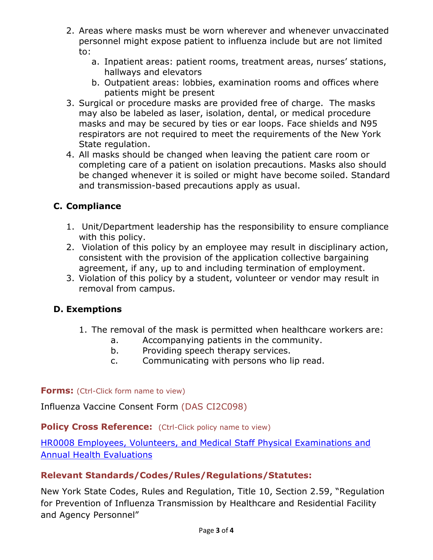- 2. Areas where masks must be worn wherever and whenever unvaccinated personnel might expose patient to influenza include but are not limited to:
	- a. Inpatient areas: patient rooms, treatment areas, nurses' stations, hallways and elevators
	- b. Outpatient areas: lobbies, examination rooms and offices where patients might be present
- 3. Surgical or procedure masks are provided free of charge. The masks may also be labeled as laser, isolation, dental, or medical procedure masks and may be secured by ties or ear loops. Face shields and N95 respirators are not required to meet the requirements of the New York State regulation.
- 4. All masks should be changed when leaving the patient care room or completing care of a patient on isolation precautions. Masks also should be changed whenever it is soiled or might have become soiled. Standard and transmission-based precautions apply as usual.

# **C. Compliance**

- 1. Unit/Department leadership has the responsibility to ensure compliance with this policy.
- 2. Violation of this policy by an employee may result in disciplinary action, consistent with the provision of the application collective bargaining agreement, if any, up to and including termination of employment.
- 3. Violation of this policy by a student, volunteer or vendor may result in removal from campus.

## **D. Exemptions**

- 1. The removal of the mask is permitted when healthcare workers are:
	- a. Accompanying patients in the community.
	- b. Providing speech therapy services.
	- c. Communicating with persons who lip read.

**Forms:** (Ctrl-Click form name to view)

Influenza Vaccine Consent Form (DAS CI2C098)

**Policy Cross Reference:** (Ctrl-Click policy name to view)

[HR0008 Employees, Volunteers, and Medical Staff Physical Examinations and](https://policymanager.uhmc.sunysb.edu/docview/?docid=5648)  [Annual Health Evaluations](https://policymanager.uhmc.sunysb.edu/docview/?docid=5648) 

### **Relevant Standards/Codes/Rules/Regulations/Statutes:**

New York State Codes, Rules and Regulation, Title 10, Section 2.59, "Regulation for Prevention of Influenza Transmission by Healthcare and Residential Facility and Agency Personnel"